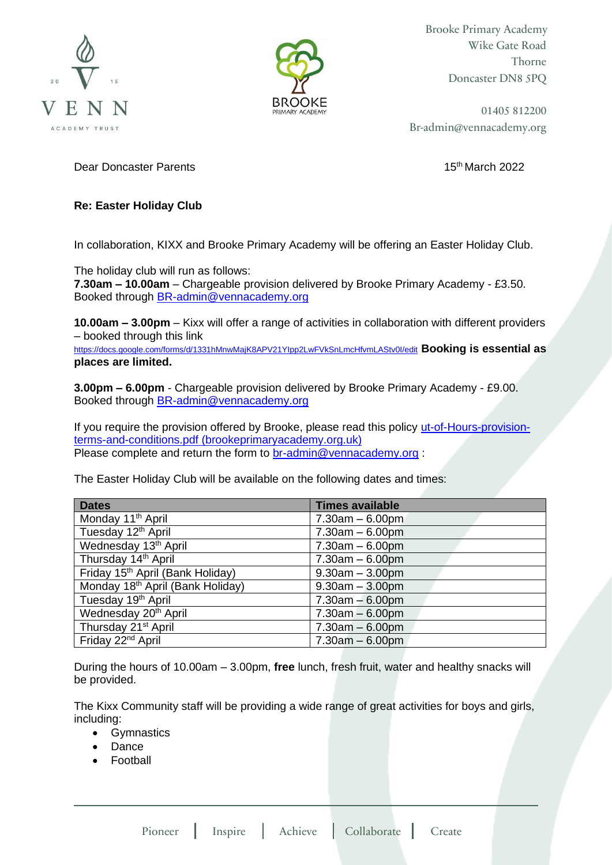



Brooke Primary Academy Wike Gate Road Thorne Doncaster DN8 5PQ

01405 812200 Br-admin@vennacademy.org

**Dear Doncaster Parents 15th March 2022 15th March 2022** 

## **Re: Easter Holiday Club**

In collaboration, KIXX and Brooke Primary Academy will be offering an Easter Holiday Club.

The holiday club will run as follows:

**7.30am – 10.00am** – Chargeable provision delivered by Brooke Primary Academy - £3.50. Booked through [BR-admin@vennacademy.org](mailto:BR-admin@vennacademy.org)

**10.00am – 3.00pm** – Kixx will offer a range of activities in collaboration with different providers – booked through this link

<https://docs.google.com/forms/d/1331hMnwMajK8APV21YIpp2LwFVkSnLmcHfvmLAStv0I/edit> **Booking is essential as places are limited.** 

**3.00pm – 6.00pm** - Chargeable provision delivered by Brooke Primary Academy - £9.00. Booked through [BR-admin@vennacademy.org](mailto:BR-admin@vennacademy.org)

If you require the provision offered by Brooke, please read this policy [ut-of-Hours-provision](https://brookeprimaryacademy.org.uk/wp-content/uploads/2022/03/ut-of-Hours-provision-terms-and-conditions.pdf)[terms-and-conditions.pdf \(brookeprimaryacademy.org.uk\)](https://brookeprimaryacademy.org.uk/wp-content/uploads/2022/03/ut-of-Hours-provision-terms-and-conditions.pdf) Please complete and return the form to [br-admin@vennacademy.org](mailto:br-admin@vennacademy.org) :

The Easter Holiday Club will be available on the following dates and times:

| <b>Dates</b>                                 | <b>Times available</b> |
|----------------------------------------------|------------------------|
| Monday 11 <sup>th</sup> April                | $7.30am - 6.00pm$      |
| Tuesday 12 <sup>th</sup> April               | $7.30am - 6.00pm$      |
| Wednesday 13 <sup>th</sup> April             | $7.30am - 6.00pm$      |
| Thursday 14th April                          | $7.30am - 6.00pm$      |
| Friday 15 <sup>th</sup> April (Bank Holiday) | $9.30am - 3.00pm$      |
| Monday 18 <sup>th</sup> April (Bank Holiday) | $9.30am - 3.00pm$      |
| Tuesday 19 <sup>th</sup> April               | $7.30am - 6.00pm$      |
| Wednesday 20 <sup>th</sup> April             | $7.30am - 6.00pm$      |
| Thursday 21 <sup>st</sup> April              | $7.30am - 6.00pm$      |
| Friday 22 <sup>nd</sup> April                | $7.30am - 6.00pm$      |

During the hours of 10.00am – 3.00pm, **free** lunch, fresh fruit, water and healthy snacks will be provided.

The Kixx Community staff will be providing a wide range of great activities for boys and girls, including:

- Gymnastics
- Dance
- Football